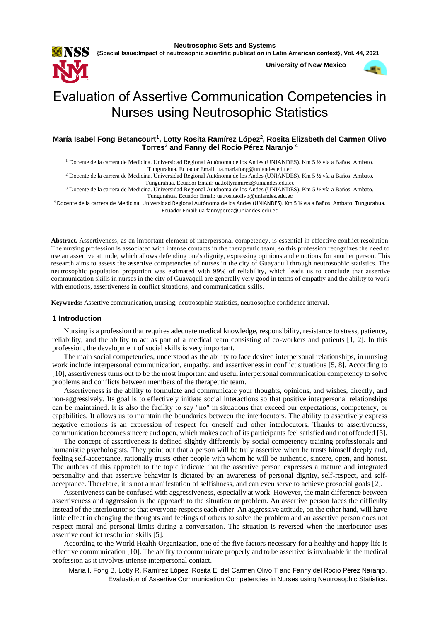

**University of New Mexico**



# Evaluation of Assertive Communication Competencies in Nurses using Neutrosophic Statistics

# **María Isabel Fong Betancourt<sup>1</sup> , Lotty Rosita Ramírez López<sup>2</sup> , Rosita Elizabeth del Carmen Olivo Torres<sup>3</sup> and Fanny del Rocío Pérez Naranjo <sup>4</sup>**

<sup>1</sup> Docente de la carrera de Medicina. Universidad Regional Autónoma de los Andes (UNIANDES). Km 5 ½ vía a Baños. Ambato. Tungurahua. Ecuador Email[: ua.mariafong@uniandes.edu.ec](mailto:ua.mariafong@uniandes.edu.ec)

<sup>2</sup> Docente de la carrera de Medicina. Universidad Regional Autónoma de los Andes (UNIANDES). Km 5 ½ vía a Baños. Ambato.

Tungurahua. Ecuador Email[: ua.lottyramirez@uniandes.edu.ec](mailto:ua.lottyramirez@uniandes.edu.ec)

<sup>3</sup> Docente de la carrera de Medicina. Universidad Regional Autónoma de los Andes (UNIANDES). Km 5 ½ vía a Baños. Ambato. Tungurahua. Ecuador Email: [ua.rositaolivo@uniandes.edu.ec](mailto:ua.rositaolivo@uniandes.edu.ec)

<sup>4</sup> Docente de la carrera de Medicina. Universidad Regional Autónoma de los Andes (UNIANDES). Km 5 ½ vía a Baños. Ambato. Tungurahua. Ecuador Email[: ua.fannyperez@uniandes.edu.ec](mailto:ua.fannyperez@uniandes.edu.ec)

**Abstract.** Assertiveness, as an important element of interpersonal competency, is essential in effective conflict resolution. The nursing profession is associated with intense contacts in the therapeutic team, so this profession recognizes the need to use an assertive attitude, which allows defending one's dignity, expressing opinions and emotions for another person. This research aims to assess the assertive competencies of nurses in the city of Guayaquil through neutrosophic statistics. The neutrosophic population proportion was estimated with 99% of reliability, which leads us to conclude that assertive communication skills in nurses in the city of Guayaquil are generally very good in terms of empathy and the ability to work with emotions, assertiveness in conflict situations, and communication skills.

**Keywords:** Assertive communication, nursing, neutrosophic statistics, neutrosophic confidence interval.

### **1 Introduction**

Nursing is a profession that requires adequate medical knowledge, responsibility, resistance to stress, patience, reliability, and the ability to act as part of a medical team consisting of co-workers and patients [1, 2]. In this profession, the development of social skills is very important.

The main social competencies, understood as the ability to face desired interpersonal relationships, in nursing work include interpersonal communication, empathy, and assertiveness in conflict situations [5, 8]. According to [10], assertiveness turns out to be the most important and useful interpersonal communication competency to solve problems and conflicts between members of the therapeutic team.

Assertiveness is the ability to formulate and communicate your thoughts, opinions, and wishes, directly, and non-aggressively. Its goal is to effectively initiate social interactions so that positive interpersonal relationships can be maintained. It is also the facility to say "no" in situations that exceed our expectations, competency, or capabilities. It allows us to maintain the boundaries between the interlocutors. The ability to assertively express negative emotions is an expression of respect for oneself and other interlocutors. Thanks to assertiveness, communication becomes sincere and open, which makes each of its participants feel satisfied and not offended [3].

The concept of assertiveness is defined slightly differently by social competency training professionals and humanistic psychologists. They point out that a person will be truly assertive when he trusts himself deeply and, feeling self-acceptance, rationally trusts other people with whom he will be authentic, sincere, open, and honest. The authors of this approach to the topic indicate that the assertive person expresses a mature and integrated personality and that assertive behavior is dictated by an awareness of personal dignity, self-respect, and selfacceptance. Therefore, it is not a manifestation of selfishness, and can even serve to achieve prosocial goals [2].

Assertiveness can be confused with aggressiveness, especially at work. However, the main difference between assertiveness and aggression is the approach to the situation or problem. An assertive person faces the difficulty instead of the interlocutor so that everyone respects each other. An aggressive attitude, on the other hand, will have little effect in changing the thoughts and feelings of others to solve the problem and an assertive person does not respect moral and personal limits during a conversation. The situation is reversed when the interlocutor uses assertive conflict resolution skills [5].

According to the World Health Organization, one of the five factors necessary for a healthy and happy life is effective communication [10]. The ability to communicate properly and to be assertive is invaluable in the medical profession as it involves intense interpersonal contact.

María I. Fong B, Lotty R. Ramírez López, Rosita E. del Carmen Olivo T and Fanny del Rocío Pérez Naranjo. Evaluation of Assertive Communication Competencies in Nurses using Neutrosophic Statistics.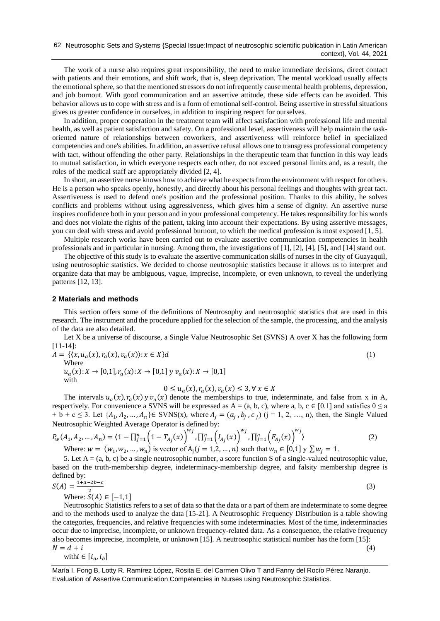The work of a nurse also requires great responsibility, the need to make immediate decisions, direct contact with patients and their emotions, and shift work, that is, sleep deprivation. The mental workload usually affects the emotional sphere, so that the mentioned stressors do not infrequently cause mental health problems, depression, and job burnout. With good communication and an assertive attitude, these side effects can be avoided. This behavior allows us to cope with stress and is a form of emotional self-control. Being assertive in stressful situations gives us greater confidence in ourselves, in addition to inspiring respect for ourselves.

In addition, proper cooperation in the treatment team will affect satisfaction with professional life and mental health, as well as patient satisfaction and safety. On a professional level, assertiveness will help maintain the taskoriented nature of relationships between coworkers, and assertiveness will reinforce belief in specialized competencies and one's abilities. In addition, an assertive refusal allows one to transgress professional competency with tact, without offending the other party. Relationships in the therapeutic team that function in this way leads to mutual satisfaction, in which everyone respects each other, do not exceed personal limits and, as a result, the roles of the medical staff are appropriately divided [2, 4].

In short, an assertive nurse knows how to achieve what he expects from the environment with respect for others. He is a person who speaks openly, honestly, and directly about his personal feelings and thoughts with great tact. Assertiveness is used to defend one's position and the professional position. Thanks to this ability, he solves conflicts and problems without using aggressiveness, which gives him a sense of dignity. An assertive nurse inspires confidence both in your person and in your professional competency. He takes responsibility for his words and does not violate the rights of the patient, taking into account their expectations. By using assertive messages, you can deal with stress and avoid professional burnout, to which the medical profession is most exposed [1, 5].

Multiple research works have been carried out to evaluate assertive communication competencies in health professionals and in particular in nursing. Among them, the investigations of [1], [2], [4], [5], and [14] stand out.

The objective of this study is to evaluate the assertive communication skills of nurses in the city of Guayaquil, using neutrosophic statistics. We decided to choose neutrosophic statistics because it allows us to interpret and organize data that may be ambiguous, vague, imprecise, incomplete, or even unknown, to reveal the underlying patterns [12, 13].

## **2 Materials and methods**

This section offers some of the definitions of Neutrosophy and neutrosophic statistics that are used in this research. The instrument and the procedure applied for the selection of the sample, the processing, and the analysis of the data are also detailed.

Let X be a universe of discourse, a Single Value Neutrosophic Set (SVNS) A over X has the following form [11-14]:

$$
A = \{ \langle x, u_a(x), r_a(x), v_a(x) \rangle : x \in X \} d
$$
\nWhere

\n
$$
(1)
$$

 $u_a(x): X \to [0,1], r_a(x): X \to [0,1]$  y  $v_a(x): X \to [0,1]$ with

$$
0 \le u_a(x), r_a(x), v_a(x) \le 3, \forall x \in X
$$

The intervals  $u_a(x)$ ,  $r_a(x)$  y  $v_a(x)$  denote the memberships to true, indeterminate, and false from x in A, respectively. For convenience a SVNS will be expressed as  $A = (a, b, c)$ , where a, b,  $c \in [0.1]$  and satisfies  $0 \le a$  $+ b + c \le 3$ . Let  $\{A_1, A_2, ..., A_n\} \in \text{SVNS}(x)$ , where  $A_j = (a_j, b_j, c_j)$   $(j = 1, 2, ..., n)$ , then, the Single Valued Neutrosophic Weighted Average Operator is defined by:

$$
P_w(A_1, A_2, ..., A_n) = (1 - \prod_{j=1}^n \left(1 - T_{A_j}(x)\right)^{w_j}, \prod_{j=1}^n \left(I_{A_j}(x)\right)^{w_j}, \prod_{j=1}^n \left(F_{A_j}(x)\right)^{w_j})
$$
\n(2)

Where:  $w = (w_1, w_2, ..., w_n)$  is vector of  $A_j (j = 1, 2, ..., n)$  such that  $w_n \in [0, 1]$   $y \sum w_j = 1$ .

5. Let  $A = (a, b, c)$  be a single neutrosophic number, a score function S of a single-valued neutrosophic value, based on the truth-membership degree, indeterminacy-membership degree, and falsity membership degree is defined by:

$$
S(A) = \frac{1 + a - 2b - c}{2(1 - a)(1 - b)}\tag{3}
$$

Where:  $S(A) \in [-1,1]$ 

Neutrosophic Statistics refers to a set of data so that the data or a part of them are indeterminate to some degree and to the methods used to analyze the data [15-21]. A Neutrosophic Frequency Distribution is a table showing the categories, frequencies, and relative frequencies with some indeterminacies. Most of the time, indeterminacies occur due to imprecise, incomplete, or unknown frequency-related data. As a consequence, the relative frequency also becomes imprecise, incomplete, or unknown [15]. A neutrosophic statistical number has the form [15]:  $N = d + i$  (4) with $i \in [i_a, i_b]$ 

María I. Fong B, Lotty R. Ramírez López, Rosita E. del Carmen Olivo T and Fanny del Rocío Pérez Naranjo. Evaluation of Assertive Communication Competencies in Nurses using Neutrosophic Statistics.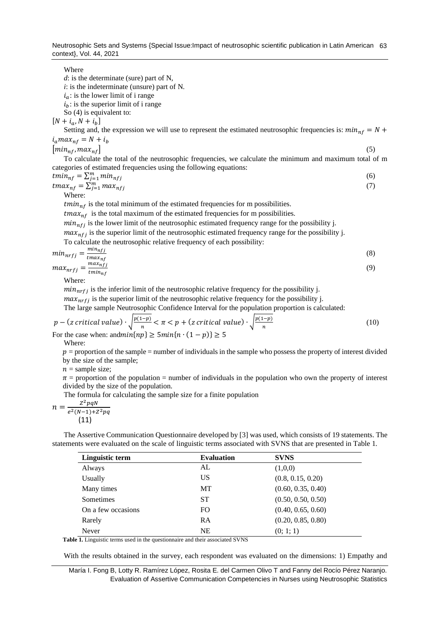Neutrosophic Sets and Systems {Special Issue:Impact of neutrosophic scientific publication in Latin American 63 context}, Vol. 44, 2021

Where

*d*: is the determinate (sure) part of N,

*i*: is the indeterminate (unsure) part of N.

 $i_a$ : is the lower limit of i range

 $i<sub>b</sub>$ : is the superior limit of i range

So (4) is equivalent to:

 $[N + i_a, N + i_b]$ 

Setting and, the expression we will use to represent the estimated neutrosophic frequencies is:  $min_{nf} = N +$  $i_a max_{nf} = N + i_b$ 

 $\left[\min_{n \in \mathbb{N}} \max_{n \in \mathbb{N}} \right]$  (5)

To calculate the total of the neutrosophic frequencies, we calculate the minimum and maximum total of m categories of estimated frequencies using the following equations:

$$
tmin_{nf} = \sum_{j=1}^{m} min_{nfj}
$$
  
\n
$$
tmax_{nf} = \sum_{j=1}^{m} max_{nfj}
$$
 (6)

Where:

 $tmin_{n \text{f}}$  is the total minimum of the estimated frequencies for m possibilities.

 $tmax_{nf}$  is the total maximum of the estimated frequencies for m possibilities.

 $min_{n \neq j}$  is the lower limit of the neutrosophic estimated frequency range for the possibility j.

 $max_{n \neq i}$  is the superior limit of the neutrosophic estimated frequency range for the possibility j.

To calculate the neutrosophic relative frequency of each possibility:

$$
\min_{nrfj} = \frac{\min_{rfj}}{\max_{nf} \max_{nfj}} \tag{8}
$$
\n
$$
\max_{nrfj} = \frac{\max_{nfj}}{\min_{t \text{min}} \max_{nfj}} \tag{9}
$$

$$
x_{nrfj} = \frac{1}{t_{minnf}}
$$

Where:

 $min_{n \in I}$  is the inferior limit of the neutrosophic relative frequency for the possibility j.

 $max_{nrf_i}$  is the superior limit of the neutrosophic relative frequency for the possibility j.

The large sample Neutrosophic Confidence Interval for the population proportion is calculated:

$$
p - (z \text{ critical value}) \cdot \sqrt{\frac{p(1-p)}{n}} < \pi < p + (z \text{ critical value}) \cdot \sqrt{\frac{p(1-p)}{n}}
$$
\nFor the case when:  $\text{and } \min\{np\} \ge 5\text{ min}\{n \cdot (1-p)\} \ge 5$ 

\n(10)

Where:

 $p =$  proportion of the sample = number of individuals in the sample who possess the property of interest divided by the size of the sample;

 $n =$  sample size;

 $\pi$  = proportion of the population = number of individuals in the population who own the property of interest divided by the size of the population.

The formula for calculating the sample size for a finite population

$$
n = \frac{Z^2pqN}{e^2(N-1)+Z^2pq}
$$
\n(11)

The Assertive Communication Questionnaire developed by [3] was used, which consists of 19 statements. The statements were evaluated on the scale of linguistic terms associated with SVNS that are presented in Table 1.

| Linguistic term    | <b>Evaluation</b> | <b>SVNS</b>        |
|--------------------|-------------------|--------------------|
| Always             | AL                | (1,0,0)            |
| Usually            | US                | (0.8, 0.15, 0.20)  |
| Many times         | MT                | (0.60, 0.35, 0.40) |
| Sometimes          | <b>ST</b>         | (0.50, 0.50, 0.50) |
| On a few occasions | FO.               | (0.40, 0.65, 0.60) |
| Rarely             | RA                | (0.20, 0.85, 0.80) |
| Never              | <b>NE</b>         | (0; 1; 1)          |

**Table 1.** Linguistic terms used in the questionnaire and their associated SVNS

With the results obtained in the survey, each respondent was evaluated on the dimensions: 1) Empathy and

María I. Fong B, Lotty R. Ramírez López, Rosita E. del Carmen Olivo T and Fanny del Rocío Pérez Naranjo. Evaluation of Assertive Communication Competencies in Nurses using Neutrosophic Statistics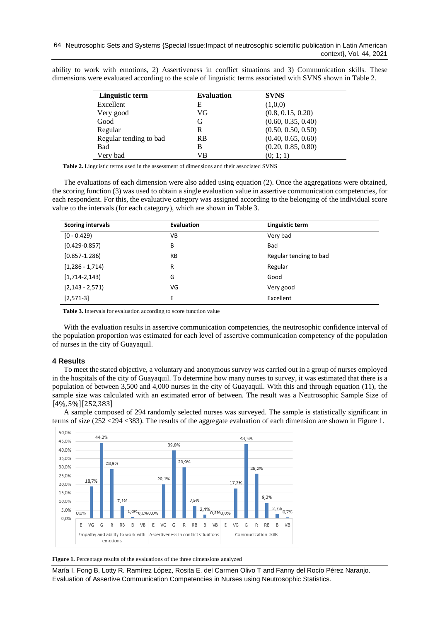ability to work with emotions, 2) Assertiveness in conflict situations and 3) Communication skills. These dimensions were evaluated according to the scale of linguistic terms associated with SVNS shown in Table 2.

| Linguistic term        | <b>Evaluation</b> | <b>SVNS</b>        |
|------------------------|-------------------|--------------------|
| Excellent              | Е                 | (1,0,0)            |
| Very good              | VG                | (0.8, 0.15, 0.20)  |
| Good                   | G                 | (0.60, 0.35, 0.40) |
| Regular                | R                 | (0.50, 0.50, 0.50) |
| Regular tending to bad | <b>RB</b>         | (0.40, 0.65, 0.60) |
| Bad                    | в                 | (0.20, 0.85, 0.80) |
| Very bad               | VВ                | (0; 1; 1)          |

**Table 2.** Linguistic terms used in the assessment of dimensions and their associated SVNS

The evaluations of each dimension were also added using equation (2). Once the aggregations were obtained, the scoring function (3) was used to obtain a single evaluation value in assertive communication competencies, for each respondent. For this, the evaluative category was assigned according to the belonging of the individual score value to the intervals (for each category), which are shown in Table 3.

| <b>Scoring intervals</b> | <b>Evaluation</b> | Linguistic term        |
|--------------------------|-------------------|------------------------|
| $[0 - 0.429]$            | VB                | Very bad               |
| $[0.429 - 0.857]$        | В                 | Bad                    |
| $[0.857 - 1.286]$        | <b>RB</b>         | Regular tending to bad |
| $[1,286 - 1,714]$        | R                 | Regular                |
| $[1,714-2,143]$          | G                 | Good                   |
| $[2, 143 - 2, 571]$      | VG                | Very good              |
| $[2, 571-3]$             | E                 | Excellent              |

**Table 3.** Intervals for evaluation according to score function value

With the evaluation results in assertive communication competencies, the neutrosophic confidence interval of the population proportion was estimated for each level of assertive communication competency of the population of nurses in the city of Guayaquil.

# **4 Results**

To meet the stated objective, a voluntary and anonymous survey was carried out in a group of nurses employed in the hospitals of the city of Guayaquil. To determine how many nurses to survey, it was estimated that there is a population of between 3,500 and 4,000 nurses in the city of Guayaquil. With this and through equation (11), the sample size was calculated with an estimated error of between. The result was a Neutrosophic Sample Size of [4%, 5%][252,383]

A sample composed of 294 randomly selected nurses was surveyed. The sample is statistically significant in terms of size (252 <294 <383). The results of the aggregate evaluation of each dimension are shown in Figure 1.



Figure 1. Percentage results of the evaluations of the three dimensions analyzed

María I. Fong B, Lotty R. Ramírez López, Rosita E. del Carmen Olivo T and Fanny del Rocío Pérez Naranjo. Evaluation of Assertive Communication Competencies in Nurses using Neutrosophic Statistics.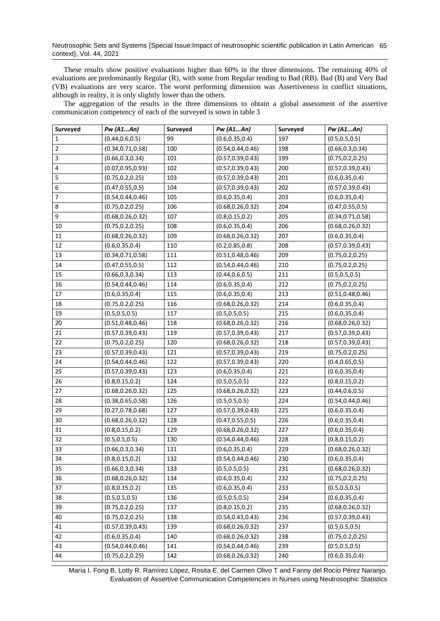These results show positive evaluations higher than 60% in the three dimensions. The remaining 40% of evaluations are predominantly Regular (R), with some from Regular tending to Bad (RB). Bad (B) and Very Bad (VB) evaluations are very scarce. The worst performing dimension was Assertiveness in conflict situations, although in reality, it is only slightly lower than the others.

The aggregation of the results in the three dimensions to obtain a global assessment of the assertive communication competency of each of the surveyed is sown in table 3

| Surveyed | Pw (A1An)          | Surveyed | Pw (A1An)          | Surveyed | Pw (A1An)          |
|----------|--------------------|----------|--------------------|----------|--------------------|
| 1        | (0.44, 0.6, 0.5)   | 99       | (0.6, 0.35, 0.4)   | 197      | (0.5, 0.5, 0.5)    |
| 2        | (0.34, 0.71, 0.58) | 100      | (0.54, 0.44, 0.46) | 198      | (0.66, 0.3, 0.34)  |
| 3        | (0.66, 0.3, 0.34)  | 101      | (0.57, 0.39, 0.43) | 199      | (0.75, 0.2, 0.25)  |
| 4        | (0.07, 0.95, 0.93) | 102      | (0.57, 0.39, 0.43) | 200      | (0.57, 0.39, 0.43) |
| 5        | (0.75, 0.2, 0.25)  | 103      | (0.57, 0.39, 0.43) | 201      | (0.6, 0.35, 0.4)   |
| 6        | (0.47, 0.55, 0.5)  | 104      | (0.57, 0.39, 0.43) | 202      | (0.57, 0.39, 0.43) |
| 7        | (0.54, 0.44, 0.46) | 105      | (0.6, 0.35, 0.4)   | 203      | (0.6, 0.35, 0.4)   |
| 8        | (0.75, 0.2, 0.25)  | 106      | (0.68, 0.26, 0.32) | 204      | (0.47, 0.55, 0.5)  |
| 9        | (0.68, 0.26, 0.32) | 107      | (0.8, 0.15, 0.2)   | 205      | (0.34, 0.71, 0.58) |
| $10\,$   | (0.75, 0.2, 0.25)  | 108      | (0.6, 0.35, 0.4)   | 206      | (0.68, 0.26, 0.32) |
| $11\,$   | (0.68, 0.26, 0.32) | 109      | (0.68, 0.26, 0.32) | 207      | (0.6, 0.35, 0.4)   |
| 12       | (0.6, 0.35, 0.4)   | 110      | (0.2, 0.85, 0.8)   | 208      | (0.57, 0.39, 0.43) |
| 13       | (0.34, 0.71, 0.58) | 111      | (0.51, 0.48, 0.46) | 209      | (0.75, 0.2, 0.25)  |
| 14       | (0.47, 0.55, 0.5)  | 112      | (0.54, 0.44, 0.46) | 210      | (0.75, 0.2, 0.25)  |
| 15       | (0.66, 0.3, 0.34)  | 113      | (0.44, 0.6, 0.5)   | 211      | (0.5, 0.5, 0.5)    |
| 16       | (0.54, 0.44, 0.46) | 114      | (0.6, 0.35, 0.4)   | 212      | (0.75, 0.2, 0.25)  |
| 17       | (0.6, 0.35, 0.4)   | 115      | (0.6, 0.35, 0.4)   | 213      | (0.51, 0.48, 0.46) |
| 18       | (0.75, 0.2, 0.25)  | 116      | (0.68, 0.26, 0.32) | 214      | (0.6, 0.35, 0.4)   |
| 19       | (0.5, 0.5, 0.5)    | 117      | (0.5, 0.5, 0.5)    | 215      | (0.6, 0.35, 0.4)   |
| 20       | (0.51, 0.48, 0.46) | 118      | (0.68, 0.26, 0.32) | 216      | (0.68, 0.26, 0.32) |
| 21       | (0.57, 0.39, 0.43) | 119      | (0.57, 0.39, 0.43) | 217      | (0.57, 0.39, 0.43) |
| 22       | (0.75, 0.2, 0.25)  | 120      | (0.68, 0.26, 0.32) | 218      | (0.57, 0.39, 0.43) |
| 23       | (0.57, 0.39, 0.43) | 121      | (0.57, 0.39, 0.43) | 219      | (0.75, 0.2, 0.25)  |
| 24       | (0.54, 0.44, 0.46) | 122      | (0.57, 0.39, 0.43) | 220      | (0.4, 0.65, 0.5)   |
| 25       | (0.57, 0.39, 0.43) | 123      | (0.6, 0.35, 0.4)   | 221      | (0.6, 0.35, 0.4)   |
| 26       | (0.8, 0.15, 0.2)   | 124      | (0.5, 0.5, 0.5)    | 222      | (0.8, 0.15, 0.2)   |
| 27       | (0.68, 0.26, 0.32) | 125      | (0.68, 0.26, 0.32) | 223      | (0.44, 0.6, 0.5)   |
| 28       | (0.38, 0.65, 0.58) | 126      | (0.5, 0.5, 0.5)    | 224      | (0.54, 0.44, 0.46) |
| 29       | (0.27, 0.78, 0.68) | 127      | (0.57, 0.39, 0.43) | 225      | (0.6, 0.35, 0.4)   |
| 30       | (0.68, 0.26, 0.32) | 128      | (0.47, 0.55, 0.5)  | 226      | (0.6, 0.35, 0.4)   |
| 31       | (0.8, 0.15, 0.2)   | 129      | (0.68, 0.26, 0.32) | 227      | (0.6, 0.35, 0.4)   |
| 32       | (0.5, 0.5, 0.5)    | 130      | (0.54, 0.44, 0.46) | 228      | (0.8, 0.15, 0.2)   |
| 33       | (0.66, 0.3, 0.34)  | 131      | (0.6, 0.35, 0.4)   | 229      | (0.68, 0.26, 0.32) |
| 34       | (0.8, 0.15, 0.2)   | 132      | (0.54, 0.44, 0.46) | 230      | (0.6, 0.35, 0.4)   |
| 35       | (0.66, 0.3, 0.34)  | 133      | (0.5, 0.5, 0.5)    | 231      | (0.68, 0.26, 0.32) |
| 36       | (0.68, 0.26, 0.32) | 134      | (0.6, 0.35, 0.4)   | 232      | (0.75, 0.2, 0.25)  |
| 37       | (0.8, 0.15, 0.2)   | 135      | (0.6, 0.35, 0.4)   | 233      | (0.5, 0.5, 0.5)    |
| 38       | (0.5, 0.5, 0.5)    | 136      | (0.5, 0.5, 0.5)    | 234      | (0.6, 0.35, 0.4)   |
| 39       | (0.75, 0.2, 0.25)  | 137      | (0.8, 0.15, 0.2)   | 235      | (0.68, 0.26, 0.32) |
| 40       | (0.75, 0.2, 0.25)  | 138      | (0.54, 0.43, 0.43) | 236      | (0.57, 0.39, 0.43) |
| 41       | (0.57, 0.39, 0.43) | 139      | (0.68, 0.26, 0.32) | 237      | (0.5, 0.5, 0.5)    |
| 42       | (0.6, 0.35, 0.4)   | 140      | (0.68, 0.26, 0.32) | 238      | (0.75, 0.2, 0.25)  |
| 43       | (0.54, 0.44, 0.46) | 141      | (0.54, 0.44, 0.46) | 239      | (0.5, 0.5, 0.5)    |
| 44       | (0.75, 0.2, 0.25)  | 142      | (0.68, 0.26, 0.32) | 240      | (0.6, 0.35, 0.4)   |

María I. Fong B, Lotty R. Ramírez López, Rosita E. del Carmen Olivo T and Fanny del Rocío Pérez Naranjo. Evaluation of Assertive Communication Competencies in Nurses using Neutrosophic Statistics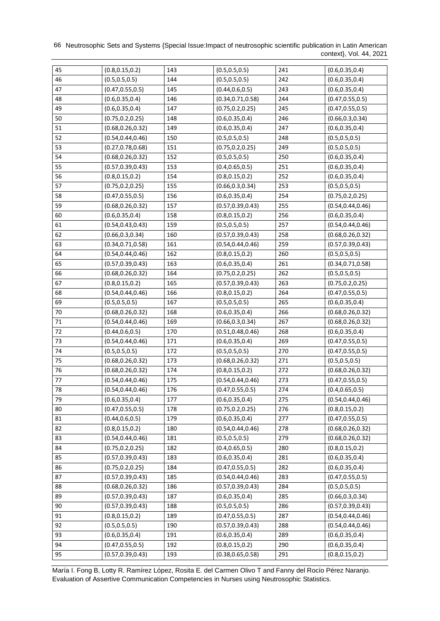66 Neutrosophic Sets and Systems {Special Issue: Impact of neutrosophic scientific publication in Latin American context}, Vol. 44, 2021

| 45     | (0.8, 0.15, 0.2)   | 143 | (0.5, 0.5, 0.5)    | 241 | (0.6, 0.35, 0.4)   |
|--------|--------------------|-----|--------------------|-----|--------------------|
| 46     | (0.5, 0.5, 0.5)    | 144 | (0.5, 0.5, 0.5)    | 242 | (0.6, 0.35, 0.4)   |
| 47     | (0.47, 0.55, 0.5)  | 145 | (0.44, 0.6, 0.5)   | 243 | (0.6, 0.35, 0.4)   |
| 48     | (0.6, 0.35, 0.4)   | 146 | (0.34, 0.71, 0.58) | 244 | (0.47, 0.55, 0.5)  |
| 49     | (0.6, 0.35, 0.4)   | 147 | (0.75, 0.2, 0.25)  | 245 | (0.47, 0.55, 0.5)  |
| 50     | (0.75, 0.2, 0.25)  | 148 | (0.6, 0.35, 0.4)   | 246 | (0.66, 0.3, 0.34)  |
| 51     | (0.68, 0.26, 0.32) | 149 | (0.6, 0.35, 0.4)   | 247 | (0.6, 0.35, 0.4)   |
| 52     | (0.54, 0.44, 0.46) | 150 | (0.5, 0.5, 0.5)    | 248 | (0.5, 0.5, 0.5)    |
| 53     | (0.27, 0.78, 0.68) | 151 | (0.75, 0.2, 0.25)  | 249 | (0.5, 0.5, 0.5)    |
| 54     | (0.68, 0.26, 0.32) | 152 | (0.5, 0.5, 0.5)    | 250 | (0.6, 0.35, 0.4)   |
| 55     | (0.57, 0.39, 0.43) | 153 | (0.4, 0.65, 0.5)   | 251 | (0.6, 0.35, 0.4)   |
| 56     | (0.8, 0.15, 0.2)   | 154 | (0.8, 0.15, 0.2)   | 252 | (0.6, 0.35, 0.4)   |
| 57     | (0.75, 0.2, 0.25)  | 155 | (0.66, 0.3, 0.34)  | 253 | (0.5, 0.5, 0.5)    |
| 58     | (0.47, 0.55, 0.5)  | 156 | (0.6, 0.35, 0.4)   | 254 | (0.75, 0.2, 0.25)  |
| 59     | (0.68, 0.26, 0.32) | 157 | (0.57, 0.39, 0.43) | 255 | (0.54, 0.44, 0.46) |
| 60     | (0.6, 0.35, 0.4)   | 158 | (0.8, 0.15, 0.2)   | 256 | (0.6, 0.35, 0.4)   |
| 61     | (0.54, 0.43, 0.43) | 159 | (0.5, 0.5, 0.5)    | 257 | (0.54, 0.44, 0.46) |
| 62     | (0.66, 0.3, 0.34)  | 160 | (0.57, 0.39, 0.43) | 258 | (0.68, 0.26, 0.32) |
| 63     | (0.34, 0.71, 0.58) | 161 | (0.54, 0.44, 0.46) | 259 | (0.57, 0.39, 0.43) |
| 64     | (0.54, 0.44, 0.46) | 162 | (0.8, 0.15, 0.2)   | 260 | (0.5, 0.5, 0.5)    |
| 65     | (0.57, 0.39, 0.43) | 163 | (0.6, 0.35, 0.4)   | 261 | (0.34, 0.71, 0.58) |
| 66     | (0.68, 0.26, 0.32) | 164 | (0.75, 0.2, 0.25)  | 262 | (0.5, 0.5, 0.5)    |
| 67     | (0.8, 0.15, 0.2)   | 165 | (0.57, 0.39, 0.43) | 263 | (0.75, 0.2, 0.25)  |
| 68     | (0.54, 0.44, 0.46) | 166 | (0.8, 0.15, 0.2)   | 264 | (0.47, 0.55, 0.5)  |
| 69     | (0.5, 0.5, 0.5)    | 167 | (0.5, 0.5, 0.5)    | 265 | (0.6, 0.35, 0.4)   |
| $70\,$ | (0.68, 0.26, 0.32) | 168 | (0.6, 0.35, 0.4)   | 266 | (0.68, 0.26, 0.32) |
| 71     | (0.54, 0.44, 0.46) | 169 | (0.66, 0.3, 0.34)  | 267 | (0.68, 0.26, 0.32) |
| 72     | (0.44, 0.6, 0.5)   | 170 | (0.51, 0.48, 0.46) | 268 | (0.6, 0.35, 0.4)   |
| 73     | (0.54, 0.44, 0.46) | 171 | (0.6, 0.35, 0.4)   | 269 | (0.47, 0.55, 0.5)  |
| 74     | (0.5, 0.5, 0.5)    | 172 | (0.5, 0.5, 0.5)    | 270 | (0.47, 0.55, 0.5)  |
| 75     | (0.68, 0.26, 0.32) | 173 | (0.68, 0.26, 0.32) | 271 | (0.5, 0.5, 0.5)    |
| 76     | (0.68, 0.26, 0.32) | 174 | (0.8, 0.15, 0.2)   | 272 | (0.68, 0.26, 0.32) |
| $77\,$ | (0.54, 0.44, 0.46) | 175 | (0.54, 0.44, 0.46) | 273 | (0.47, 0.55, 0.5)  |
| 78     | (0.54, 0.44, 0.46) | 176 | (0.47, 0.55, 0.5)  | 274 | (0.4, 0.65, 0.5)   |
| 79     | (0.6, 0.35, 0.4)   | 177 | (0.6, 0.35, 0.4)   | 275 | (0.54, 0.44, 0.46) |
| 80     | (0.47, 0.55, 0.5)  | 178 | (0.75, 0.2, 0.25)  | 276 | (0.8, 0.15, 0.2)   |
| 81     | (0.44, 0.6, 0.5)   | 179 | (0.6, 0.35, 0.4)   | 277 | (0.47, 0.55, 0.5)  |
| 82     | (0.8, 0.15, 0.2)   | 180 | (0.54, 0.44, 0.46) | 278 | (0.68, 0.26, 0.32) |
| 83     | (0.54, 0.44, 0.46) | 181 | (0.5, 0.5, 0.5)    | 279 | (0.68, 0.26, 0.32) |
| 84     | (0.75, 0.2, 0.25)  | 182 | (0.4, 0.65, 0.5)   | 280 | (0.8, 0.15, 0.2)   |
| 85     | (0.57, 0.39, 0.43) | 183 | (0.6, 0.35, 0.4)   | 281 | (0.6, 0.35, 0.4)   |
| 86     | (0.75, 0.2, 0.25)  | 184 | (0.47, 0.55, 0.5)  | 282 | (0.6, 0.35, 0.4)   |
| 87     | (0.57, 0.39, 0.43) | 185 | (0.54, 0.44, 0.46) | 283 | (0.47, 0.55, 0.5)  |
| 88     | (0.68, 0.26, 0.32) | 186 | (0.57, 0.39, 0.43) | 284 | (0.5, 0.5, 0.5)    |
| 89     | (0.57, 0.39, 0.43) | 187 | (0.6, 0.35, 0.4)   | 285 | (0.66, 0.3, 0.34)  |
| 90     | (0.57, 0.39, 0.43) | 188 | (0.5, 0.5, 0.5)    | 286 | (0.57, 0.39, 0.43) |
| 91     | (0.8, 0.15, 0.2)   | 189 | (0.47, 0.55, 0.5)  | 287 | (0.54, 0.44, 0.46) |
| 92     | (0.5, 0.5, 0.5)    | 190 | (0.57, 0.39, 0.43) | 288 | (0.54, 0.44, 0.46) |
| 93     | (0.6, 0.35, 0.4)   | 191 | (0.6, 0.35, 0.4)   | 289 | (0.6, 0.35, 0.4)   |
| 94     | (0.47, 0.55, 0.5)  | 192 | (0.8, 0.15, 0.2)   | 290 | (0.6, 0.35, 0.4)   |
| 95     | (0.57, 0.39, 0.43) | 193 | (0.38, 0.65, 0.58) | 291 | (0.8, 0.15, 0.2)   |

María I. Fong B, Lotty R. Ramírez López, Rosita E. del Carmen Olivo T and Fanny del Rocío Pérez Naranjo. Evaluation of Assertive Communication Competencies in Nurses using Neutrosophic Statistics.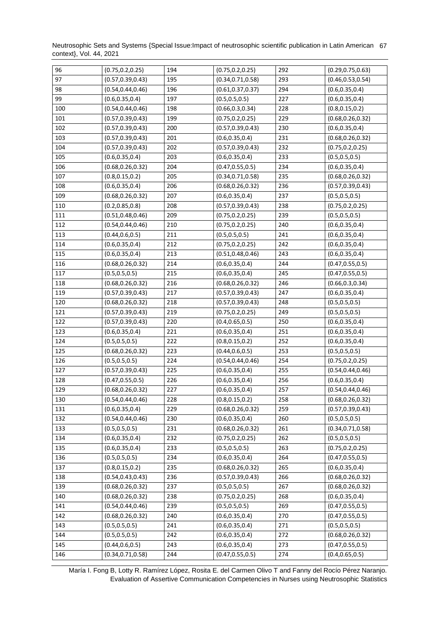Neutrosophic Sets and Systems {Special Issue:Impact of neutrosophic scientific publication in Latin American 67 context}, Vol. 44, 2021

| 96  | (0.75, 0.2, 0.25)  | 194 | (0.75, 0.2, 0.25)  | 292 | (0.29, 0.75, 0.63) |
|-----|--------------------|-----|--------------------|-----|--------------------|
| 97  | (0.57, 0.39, 0.43) | 195 | (0.34, 0.71, 0.58) | 293 | (0.46, 0.53, 0.54) |
| 98  | (0.54, 0.44, 0.46) | 196 | (0.61, 0.37, 0.37) | 294 | (0.6, 0.35, 0.4)   |
| 99  | (0.6, 0.35, 0.4)   | 197 | (0.5, 0.5, 0.5)    | 227 | (0.6, 0.35, 0.4)   |
| 100 | (0.54, 0.44, 0.46) | 198 | (0.66, 0.3, 0.34)  | 228 | (0.8, 0.15, 0.2)   |
| 101 | (0.57, 0.39, 0.43) | 199 | (0.75, 0.2, 0.25)  | 229 | (0.68, 0.26, 0.32) |
| 102 | (0.57, 0.39, 0.43) | 200 | (0.57, 0.39, 0.43) | 230 | (0.6, 0.35, 0.4)   |
| 103 | (0.57, 0.39, 0.43) | 201 | (0.6, 0.35, 0.4)   | 231 | (0.68, 0.26, 0.32) |
| 104 | (0.57, 0.39, 0.43) | 202 | (0.57, 0.39, 0.43) | 232 | (0.75, 0.2, 0.25)  |
| 105 | (0.6, 0.35, 0.4)   | 203 | (0.6, 0.35, 0.4)   | 233 | (0.5, 0.5, 0.5)    |
| 106 | (0.68, 0.26, 0.32) | 204 | (0.47, 0.55, 0.5)  | 234 | (0.6, 0.35, 0.4)   |
| 107 | (0.8, 0.15, 0.2)   | 205 | (0.34, 0.71, 0.58) | 235 | (0.68, 0.26, 0.32) |
| 108 | (0.6, 0.35, 0.4)   | 206 | (0.68, 0.26, 0.32) | 236 | (0.57, 0.39, 0.43) |
| 109 | (0.68, 0.26, 0.32) | 207 | (0.6, 0.35, 0.4)   | 237 | (0.5, 0.5, 0.5)    |
| 110 | (0.2, 0.85, 0.8)   | 208 | (0.57, 0.39, 0.43) | 238 | (0.75, 0.2, 0.25)  |
| 111 | (0.51, 0.48, 0.46) | 209 | (0.75, 0.2, 0.25)  | 239 | (0.5, 0.5, 0.5)    |
| 112 | (0.54, 0.44, 0.46) | 210 | (0.75, 0.2, 0.25)  | 240 | (0.6, 0.35, 0.4)   |
| 113 | (0.44, 0.6, 0.5)   | 211 | (0.5, 0.5, 0.5)    | 241 | (0.6, 0.35, 0.4)   |
| 114 | (0.6, 0.35, 0.4)   | 212 | (0.75, 0.2, 0.25)  | 242 | (0.6, 0.35, 0.4)   |
| 115 | (0.6, 0.35, 0.4)   | 213 | (0.51, 0.48, 0.46) | 243 | (0.6, 0.35, 0.4)   |
| 116 | (0.68, 0.26, 0.32) | 214 | (0.6, 0.35, 0.4)   | 244 | (0.47, 0.55, 0.5)  |
| 117 | (0.5, 0.5, 0.5)    | 215 | (0.6, 0.35, 0.4)   | 245 | (0.47, 0.55, 0.5)  |
| 118 | (0.68, 0.26, 0.32) | 216 | (0.68, 0.26, 0.32) | 246 | (0.66, 0.3, 0.34)  |
| 119 | (0.57, 0.39, 0.43) | 217 | (0.57, 0.39, 0.43) | 247 | (0.6, 0.35, 0.4)   |
| 120 | (0.68, 0.26, 0.32) | 218 | (0.57, 0.39, 0.43) | 248 | (0.5, 0.5, 0.5)    |
| 121 | (0.57, 0.39, 0.43) | 219 | (0.75, 0.2, 0.25)  | 249 | (0.5, 0.5, 0.5)    |
| 122 | (0.57, 0.39, 0.43) | 220 | (0.4, 0.65, 0.5)   | 250 | (0.6, 0.35, 0.4)   |
| 123 | (0.6, 0.35, 0.4)   | 221 | (0.6, 0.35, 0.4)   | 251 | (0.6, 0.35, 0.4)   |
| 124 | (0.5, 0.5, 0.5)    | 222 | (0.8, 0.15, 0.2)   | 252 | (0.6, 0.35, 0.4)   |
| 125 | (0.68, 0.26, 0.32) | 223 | (0.44, 0.6, 0.5)   | 253 | (0.5, 0.5, 0.5)    |
| 126 | (0.5, 0.5, 0.5)    | 224 | (0.54, 0.44, 0.46) | 254 | (0.75, 0.2, 0.25)  |
| 127 | (0.57, 0.39, 0.43) | 225 | (0.6, 0.35, 0.4)   | 255 | (0.54, 0.44, 0.46) |
| 128 | (0.47, 0.55, 0.5)  | 226 | (0.6, 0.35, 0.4)   | 256 | (0.6, 0.35, 0.4)   |
| 129 | (0.68, 0.26, 0.32) | 227 | (0.6, 0.35, 0.4)   | 257 | (0.54, 0.44, 0.46) |
| 130 | (0.54, 0.44, 0.46) | 228 | (0.8, 0.15, 0.2)   | 258 | (0.68, 0.26, 0.32) |
| 131 | (0.6, 0.35, 0.4)   | 229 | (0.68, 0.26, 0.32) | 259 | (0.57, 0.39, 0.43) |
| 132 | (0.54, 0.44, 0.46) | 230 | (0.6, 0.35, 0.4)   | 260 | (0.5, 0.5, 0.5)    |
| 133 | (0.5, 0.5, 0.5)    | 231 | (0.68, 0.26, 0.32) | 261 | (0.34, 0.71, 0.58) |
| 134 | (0.6, 0.35, 0.4)   | 232 | (0.75, 0.2, 0.25)  | 262 | (0.5, 0.5, 0.5)    |
| 135 | (0.6, 0.35, 0.4)   | 233 | (0.5, 0.5, 0.5)    | 263 | (0.75, 0.2, 0.25)  |
| 136 | (0.5, 0.5, 0.5)    | 234 | (0.6, 0.35, 0.4)   | 264 | (0.47, 0.55, 0.5)  |
| 137 | (0.8, 0.15, 0.2)   | 235 | (0.68, 0.26, 0.32) | 265 | (0.6, 0.35, 0.4)   |
| 138 | (0.54, 0.43, 0.43) | 236 | (0.57, 0.39, 0.43) | 266 | (0.68, 0.26, 0.32) |
| 139 | (0.68, 0.26, 0.32) | 237 | (0.5, 0.5, 0.5)    | 267 | (0.68, 0.26, 0.32) |
| 140 | (0.68, 0.26, 0.32) | 238 | (0.75, 0.2, 0.25)  | 268 | (0.6, 0.35, 0.4)   |
| 141 | (0.54, 0.44, 0.46) | 239 | (0.5, 0.5, 0.5)    | 269 | (0.47, 0.55, 0.5)  |
| 142 | (0.68, 0.26, 0.32) | 240 | (0.6, 0.35, 0.4)   | 270 | (0.47, 0.55, 0.5)  |
| 143 | (0.5, 0.5, 0.5)    | 241 | (0.6, 0.35, 0.4)   | 271 | (0.5, 0.5, 0.5)    |
| 144 | (0.5, 0.5, 0.5)    | 242 | (0.6, 0.35, 0.4)   | 272 | (0.68, 0.26, 0.32) |
| 145 | (0.44, 0.6, 0.5)   | 243 | (0.6, 0.35, 0.4)   | 273 | (0.47, 0.55, 0.5)  |
| 146 | (0.34, 0.71, 0.58) | 244 | (0.47, 0.55, 0.5)  | 274 | (0.4, 0.65, 0.5)   |

María I. Fong B, Lotty R. Ramírez López, Rosita E. del Carmen Olivo T and Fanny del Rocío Pérez Naranjo. Evaluation of Assertive Communication Competencies in Nurses using Neutrosophic Statistics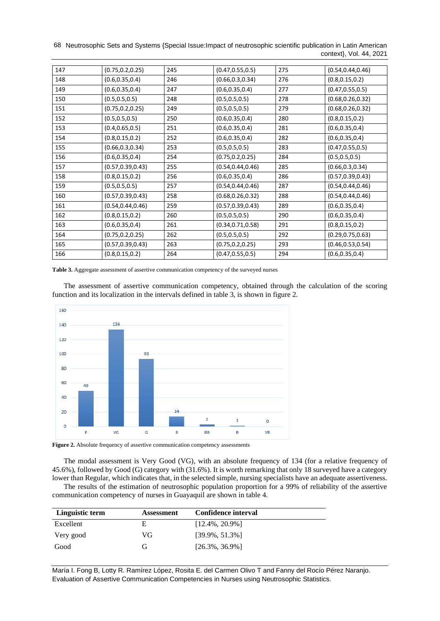68 Neutrosophic Sets and Systems {Special Issue: Impact of neutrosophic scientific publication in Latin American context}, Vol. 44, 2021

| 147 | (0.75, 0.2, 0.25)  | 245 | (0.47, 0.55, 0.5)  | 275 | (0.54, 0.44, 0.46) |
|-----|--------------------|-----|--------------------|-----|--------------------|
| 148 | (0.6, 0.35, 0.4)   | 246 | (0.66, 0.3, 0.34)  | 276 | (0.8, 0.15, 0.2)   |
| 149 | (0.6, 0.35, 0.4)   | 247 | (0.6, 0.35, 0.4)   | 277 | (0.47, 0.55, 0.5)  |
| 150 | (0.5, 0.5, 0.5)    | 248 | (0.5, 0.5, 0.5)    | 278 | (0.68, 0.26, 0.32) |
| 151 | (0.75, 0.2, 0.25)  | 249 | (0.5, 0.5, 0.5)    | 279 | (0.68, 0.26, 0.32) |
| 152 | (0.5, 0.5, 0.5)    | 250 | (0.6, 0.35, 0.4)   | 280 | (0.8, 0.15, 0.2)   |
| 153 | (0.4, 0.65, 0.5)   | 251 | (0.6, 0.35, 0.4)   | 281 | (0.6, 0.35, 0.4)   |
| 154 | (0.8, 0.15, 0.2)   | 252 | (0.6, 0.35, 0.4)   | 282 | (0.6, 0.35, 0.4)   |
| 155 | (0.66, 0.3, 0.34)  | 253 | (0.5, 0.5, 0.5)    | 283 | (0.47, 0.55, 0.5)  |
| 156 | (0.6, 0.35, 0.4)   | 254 | (0.75, 0.2, 0.25)  | 284 | (0.5, 0.5, 0.5)    |
| 157 | (0.57, 0.39, 0.43) | 255 | (0.54, 0.44, 0.46) | 285 | (0.66, 0.3, 0.34)  |
| 158 | (0.8, 0.15, 0.2)   | 256 | (0.6, 0.35, 0.4)   | 286 | (0.57, 0.39, 0.43) |
| 159 | (0.5, 0.5, 0.5)    | 257 | (0.54, 0.44, 0.46) | 287 | (0.54, 0.44, 0.46) |
| 160 | (0.57, 0.39, 0.43) | 258 | (0.68, 0.26, 0.32) | 288 | (0.54, 0.44, 0.46) |
| 161 | (0.54, 0.44, 0.46) | 259 | (0.57, 0.39, 0.43) | 289 | (0.6, 0.35, 0.4)   |
| 162 | (0.8, 0.15, 0.2)   | 260 | (0.5, 0.5, 0.5)    | 290 | (0.6, 0.35, 0.4)   |
| 163 | (0.6, 0.35, 0.4)   | 261 | (0.34, 0.71, 0.58) | 291 | (0.8, 0.15, 0.2)   |
| 164 | (0.75, 0.2, 0.25)  | 262 | (0.5, 0.5, 0.5)    | 292 | (0.29, 0.75, 0.63) |
| 165 | (0.57, 0.39, 0.43) | 263 | (0.75, 0.2, 0.25)  | 293 | (0.46, 0.53, 0.54) |
| 166 | (0.8, 0.15, 0.2)   | 264 | (0.47, 0.55, 0.5)  | 294 | (0.6, 0.35, 0.4)   |

**Table 3.** Aggregate assessment of assertive communication competency of the surveyed nurses

The assessment of assertive communication competency, obtained through the calculation of the scoring function and its localization in the intervals defined in table 3, is shown in figure 2.



Figure 2. Absolute frequency of assertive communication competency assessments

The modal assessment is Very Good (VG), with an absolute frequency of 134 (for a relative frequency of 45.6%), followed by Good (G) category with (31.6%). It is worth remarking that only 18 surveyed have a category lower than Regular, which indicates that, in the selected simple, nursing specialists have an adequate assertiveness.

The results of the estimation of neutrosophic population proportion for a 99% of reliability of the assertive communication competency of nurses in Guayaquil are shown in table 4.

| Linguistic term | <b>Assessment</b> | Confidence interval |
|-----------------|-------------------|---------------------|
| Excellent       | E                 | $[12.4\%, 20.9\%]$  |
| Very good       | VG                | $[39.9\%, 51.3\%]$  |
| Good            | G,                | $[26.3\%, 36.9\%]$  |

María I. Fong B, Lotty R. Ramírez López, Rosita E. del Carmen Olivo T and Fanny del Rocío Pérez Naranjo. Evaluation of Assertive Communication Competencies in Nurses using Neutrosophic Statistics.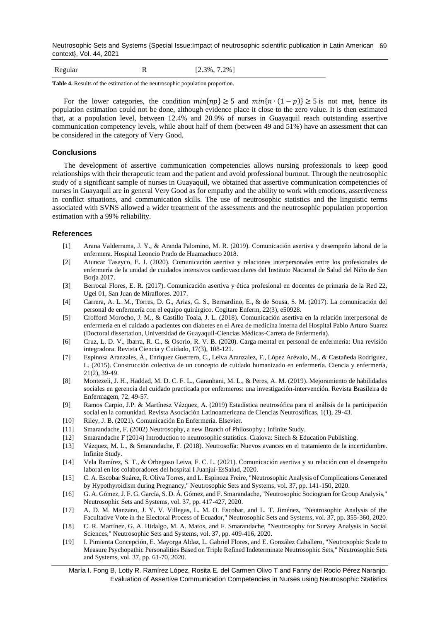Neutrosophic Sets and Systems {Special Issue:Impact of neutrosophic scientific publication in Latin American 69 context}, Vol. 44, 2021

| Regular | $[2.3\%, 7.2\%]$ |
|---------|------------------|
|         |                  |

**Table 4.** Results of the estimation of the neutrosophic population proportion.

For the lower categories, the condition  $min\{np\} \ge 5$  and  $min\{n \cdot (1-p)\} \ge 5$  is not met, hence its population estimation could not be done, although evidence place it close to the zero value. It is then estimated that, at a population level, between 12.4% and 20.9% of nurses in Guayaquil reach outstanding assertive communication competency levels, while about half of them (between 49 and 51%) have an assessment that can be considered in the category of Very Good.

## **Conclusions**

The development of assertive communication competencies allows nursing professionals to keep good relationships with their therapeutic team and the patient and avoid professional burnout. Through the neutrosophic study of a significant sample of nurses in Guayaquil, we obtained that assertive communication competencies of nurses in Guayaquil are in general Very Good as for empathy and the ability to work with emotions, assertiveness in conflict situations, and communication skills. The use of neutrosophic statistics and the linguistic terms associated with SVNS allowed a wider treatment of the assessments and the neutrosophic population proportion estimation with a 99% reliability.

### **References**

- [1] Arana Valderrama, J. Y., & Aranda Palomino, M. R. (2019). Comunicación asertiva y desempeño laboral de la enfermera. Hospital Leoncio Prado de Huamachuco 2018.
- [2] Atuncar Tasayco, E. J. (2020). Comunicación asertiva y relaciones interpersonales entre los profesionales de enfermería de la unidad de cuidados intensivos cardiovasculares del Instituto Nacional de Salud del Niño de San Borja 2017.
- [3] Berrocal Flores, E. R. (2017). Comunicación asertiva y ética profesional en docentes de primaria de la Red 22, Ugel 01, San Juan de Miraflores. 2017.
- [4] Carrera, A. L. M., Torres, D. G., Arias, G. S., Bernardino, E., & de Sousa, S. M. (2017). La comunicación del personal de enfermería con el equipo quirúrgico. Cogitare Enferm, 22(3), e50928.
- [5] Crofford Morocho, J. M., & Castillo Toala, J. L. (2018). Comunicación asertiva en la relación interpersonal de enfermeria en el cuidado a pacientes con diabetes en el Area de medicina interna del Hospital Pablo Arturo Suarez (Doctoral dissertation, Universidad de Guayaquil-Ciencias Médicas-Carrera de Enfermería).
- [6] Cruz, L. D. V., Ibarra, R. C., & Osorio, R. V. B. (2020). Carga mental en personal de enfermería: Una revisión integradora. Revista Ciencia y Cuidado, 17(3), 108-121.
- [7] Espinosa Aranzales, Á., Enríquez Guerrero, C., Leiva Aranzalez, F., López Arévalo, M., & Castañeda Rodríguez, L. (2015). Construcción colectiva de un concepto de cuidado humanizado en enfermería. Ciencia y enfermería, 21(2), 39-49.
- [8] Montezeli, J. H., Haddad, M. D. C. F. L., Garanhani, M. L., & Peres, A. M. (2019). Mejoramiento de habilidades sociales en gerencia del cuidado practicada por enfermeros: una investigación-intervención. Revista Brasileira de Enfermagem, 72, 49-57.
- [9] Ramos Carpio, J.P. & Martínesz Vázquez, A. (2019) Estadística neutrosófica para el análisis de la participación social en la comunidad. Revista Asociación Latinoamericana de Ciencias Neutrosóficas, 1(1), 29-43.
- [10] Riley, J. B. (2021). Comunicación En Enfermería. Elsevier.
- [11] Smarandache, F. (2002) Neutrosophy, a new Branch of Philosophy.: Infinite Study.
- [12] Smarandache F (2014) Introduction to neutrosophic statistics. Craiova: Sitech & Education Publishing.
- [13] Vázquez, M. L., & Smarandache, F. (2018). Neutrosofía: Nuevos avances en el tratamiento de la incertidumbre. Infinite Study.
- [14] Vela Ramírez, S. T., & Orbegoso Leiva, F. C. L. (2021). Comunicación asertiva y su relación con el desempeño laboral en los colaboradores del hospital I Juanjuí-EsSalud, 2020.
- [15] C. A. Escobar Suárez, R. Oliva Torres, and L. Espinoza Freire, "Neutrosophic Analysis of Complications Generated by Hypothyroidism during Pregnancy," Neutrosophic Sets and Systems, vol. 37, pp. 141-150, 2020.
- [16] G. A. Gómez, J. F. G. García, S. D. Á. Gómez, and F. Smarandache, "Neutrosophic Sociogram for Group Analysis," Neutrosophic Sets and Systems, vol. 37, pp. 417-427, 2020.
- [17] A. D. M. Manzano, J. Y. V. Villegas, L. M. O. Escobar, and L. T. Jiménez, "Neutrosophic Analysis of the Facultative Vote in the Electoral Process of Ecuador," Neutrosophic Sets and Systems, vol. 37, pp. 355-360, 2020.
- [18] C. R. Martínez, G. A. Hidalgo, M. A. Matos, and F. Smarandache, "Neutrosophy for Survey Analysis in Social Sciences," Neutrosophic Sets and Systems, vol. 37, pp. 409-416, 2020.
- [19] I. Pimienta Concepción, E. Mayorga Aldaz, L. Gabriel Flores, and E. González Caballero, "Neutrosophic Scale to Measure Psychopathic Personalities Based on Triple Refined Indeterminate Neutrosophic Sets," Neutrosophic Sets and Systems, vol. 37, pp. 61-70, 2020.

María I. Fong B, Lotty R. Ramírez López, Rosita E. del Carmen Olivo T and Fanny del Rocío Pérez Naranjo. Evaluation of Assertive Communication Competencies in Nurses using Neutrosophic Statistics